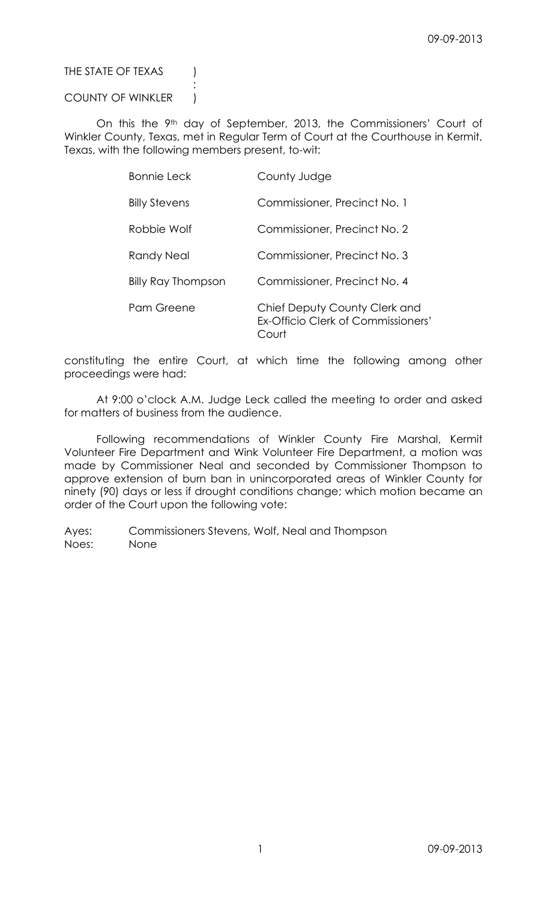# THE STATE OF TEXAS (

# COUNTY OF WINKLER )

:

On this the 9<sup>th</sup> day of September, 2013, the Commissioners' Court of Winkler County, Texas, met in Regular Term of Court at the Courthouse in Kermit, Texas, with the following members present, to-wit:

| Bonnie Leck               | County Judge                                                                |
|---------------------------|-----------------------------------------------------------------------------|
| <b>Billy Stevens</b>      | Commissioner, Precinct No. 1                                                |
| Robbie Wolf               | Commissioner, Precinct No. 2                                                |
| Randy Neal                | Commissioner, Precinct No. 3                                                |
| <b>Billy Ray Thompson</b> | Commissioner, Precinct No. 4                                                |
| Pam Greene                | Chief Deputy County Clerk and<br>Ex-Officio Clerk of Commissioners'<br>ourt |

constituting the entire Court, at which time the following among other proceedings were had:

At 9:00 o'clock A.M. Judge Leck called the meeting to order and asked for matters of business from the audience.

Following recommendations of Winkler County Fire Marshal, Kermit Volunteer Fire Department and Wink Volunteer Fire Department, a motion was made by Commissioner Neal and seconded by Commissioner Thompson to approve extension of burn ban in unincorporated areas of Winkler County for ninety (90) days or less if drought conditions change; which motion became an order of the Court upon the following vote: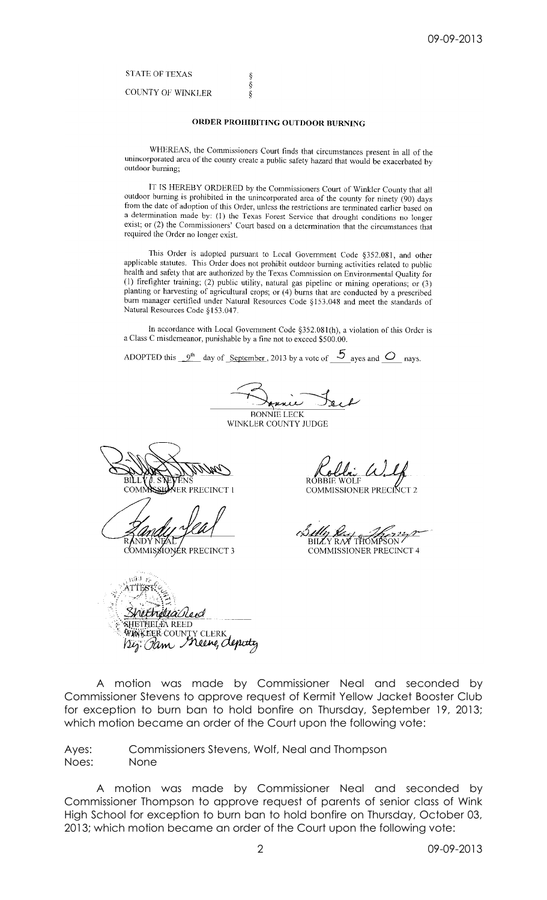## **STATE OF TEXAS**

**COUNTY OF WINKLER** 

## ORDER PROHIBITING OUTDOOR BURNING

§<br>§<br>§

WHEREAS, the Commissioners Court finds that circumstances present in all of the unincorporated area of the county create a public safety hazard that would be exacerbated by outdoor burning:

IT IS HEREBY ORDERED by the Commissioners Court of Winkler County that all outdoor burning is prohibited in the unincorporated area of the county for ninety (90) days from the date of adoption of this Order, unless the restrictions are terminated earlier based on a determination made by: (1) the Texas Forest Service that drought conditions no longer exist; or (2) the Commissioners' Court based on a determination that the circumstances that required the Order no longer exist.

This Order is adopted pursuant to Local Government Code §352.081, and other applicable statutes. This Order does not prohibit outdoor burning activities related to public health and safety that are authorized by the Texas Commission on Environmental Quality for (1) firefighter training; (2) public utility, natural gas pipeline or mining operations; or (3) planting or harvesting of agricultural crops; or  $(4)$  burns that are conducted by a prescribed burn manager certified under Natural Resources Code §153.048 and meet the standards of Natural Resources Code §153.047.

In accordance with Local Government Code §352.081(h), a violation of this Order is a Class C misdemeanor, punishable by a fine not to exceed \$500.00.

ADOPTED this  $9^{th}$  day of September, 2013 by a vote of  $5$  ayes and  $\circ$  nays.

**AUNIL BONNIE LECK** 

WINKLER COUNTY JUDGE

ER PRECINCT

COMMISSIONER PRECINCT 3

COMMISSIONER PRECINCT 2

BILLY RAY THOMPSON

**COMMISSIONER PRECINCT 4** 

ي لان retheliaileed SHETHELIA REED WÜNKEER COUNTY CLERK<br>1212: *Ol*im Meene, Aepidty

A motion was made by Commissioner Neal and seconded by Commissioner Stevens to approve request of Kermit Yellow Jacket Booster Club for exception to burn ban to hold bonfire on Thursday, September 19, 2013; which motion became an order of the Court upon the following vote:

Ayes: Commissioners Stevens, Wolf, Neal and Thompson Noes: None

A motion was made by Commissioner Neal and seconded by Commissioner Thompson to approve request of parents of senior class of Wink High School for exception to burn ban to hold bonfire on Thursday, October 03, 2013; which motion became an order of the Court upon the following vote: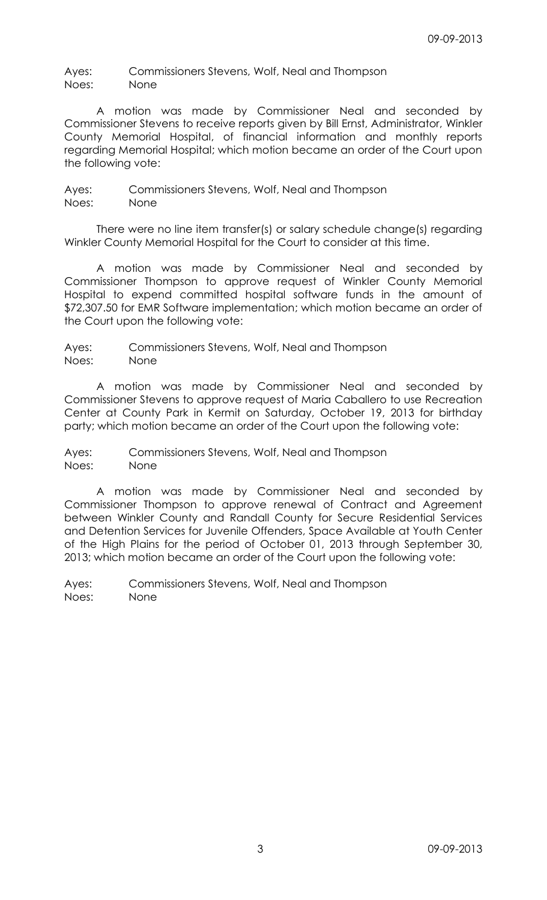Ayes: Commissioners Stevens, Wolf, Neal and Thompson Noes: None

A motion was made by Commissioner Neal and seconded by Commissioner Stevens to receive reports given by Bill Ernst, Administrator, Winkler County Memorial Hospital, of financial information and monthly reports regarding Memorial Hospital; which motion became an order of the Court upon the following vote:

Ayes: Commissioners Stevens, Wolf, Neal and Thompson Noes: None

There were no line item transfer(s) or salary schedule change(s) regarding Winkler County Memorial Hospital for the Court to consider at this time.

A motion was made by Commissioner Neal and seconded by Commissioner Thompson to approve request of Winkler County Memorial Hospital to expend committed hospital software funds in the amount of \$72,307.50 for EMR Software implementation; which motion became an order of the Court upon the following vote:

Ayes: Commissioners Stevens, Wolf, Neal and Thompson Noes: None

A motion was made by Commissioner Neal and seconded by Commissioner Stevens to approve request of Maria Caballero to use Recreation Center at County Park in Kermit on Saturday, October 19, 2013 for birthday party; which motion became an order of the Court upon the following vote:

Ayes: Commissioners Stevens, Wolf, Neal and Thompson Noes: None

A motion was made by Commissioner Neal and seconded by Commissioner Thompson to approve renewal of Contract and Agreement between Winkler County and Randall County for Secure Residential Services and Detention Services for Juvenile Offenders, Space Available at Youth Center of the High Plains for the period of October 01, 2013 through September 30, 2013; which motion became an order of the Court upon the following vote: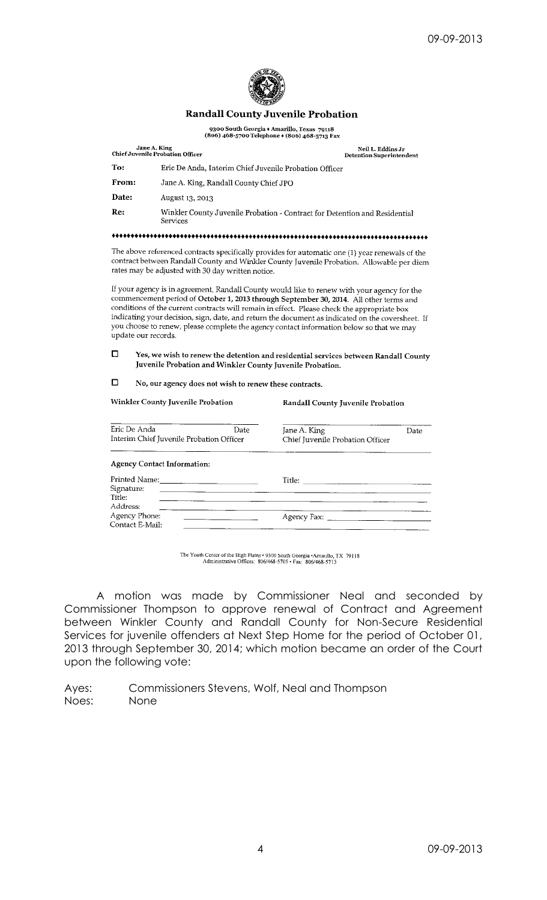

### **Randall County Juvenile Probation**

9300 South Georgia + Amarillo, Texas 79118<br>(806) 468-5700 Telephone + (806) 468-5713 Fax

|                                  | Jane A. King<br><b>Chief Juvenile Probation Officer</b>                                                            | Neil L. Eddins Jr<br><b>Detention Superintendent</b>                                                                                                                                         |  |  |  |  |  |  |
|----------------------------------|--------------------------------------------------------------------------------------------------------------------|----------------------------------------------------------------------------------------------------------------------------------------------------------------------------------------------|--|--|--|--|--|--|
| To:                              |                                                                                                                    | Eric De Anda, Interim Chief Juvenile Probation Officer                                                                                                                                       |  |  |  |  |  |  |
| From:                            | Jane A. King, Randall County Chief JPO                                                                             |                                                                                                                                                                                              |  |  |  |  |  |  |
| Date:                            | August 13, 2013                                                                                                    |                                                                                                                                                                                              |  |  |  |  |  |  |
| Re:                              | Services                                                                                                           | Winkler County Juvenile Probation - Contract for Detention and Residential                                                                                                                   |  |  |  |  |  |  |
|                                  |                                                                                                                    |                                                                                                                                                                                              |  |  |  |  |  |  |
|                                  | rates may be adjusted with 30 day written notice.                                                                  | The above referenced contracts specifically provides for automatic one (1) year renewals of the<br>contract between Randall County and Winkler County Juvenile Probation. Allowable per diem |  |  |  |  |  |  |
|                                  |                                                                                                                    | If your agency is in agreement, Randall County would like to renew with your agency for the<br>commencement period of October 1, 2013 through September 30, 2014. All other terms and        |  |  |  |  |  |  |
|                                  | conditions of the current contracts will remain in effect. Please check the appropriate box<br>update our records. | indicating your decision, sign, date, and return the document as indicated on the coversheet. If<br>you choose to renew, please complete the agency contact information below so that we may |  |  |  |  |  |  |
| O                                | Juvenile Probation and Winkler County Juvenile Probation.                                                          | Yes, we wish to renew the detention and residential services between Randall County                                                                                                          |  |  |  |  |  |  |
|                                  | No, our agency does not wish to renew these contracts.                                                             |                                                                                                                                                                                              |  |  |  |  |  |  |
| □                                | Winkler County Juvenile Probation                                                                                  | Randall County Juvenile Probation                                                                                                                                                            |  |  |  |  |  |  |
|                                  | Eric De Anda<br>Date<br>Interim Chief Juvenile Probation Officer                                                   | Jane A. King<br>Date<br>Chief Juvenile Probation Officer                                                                                                                                     |  |  |  |  |  |  |
|                                  | <b>Agency Contact Information:</b>                                                                                 |                                                                                                                                                                                              |  |  |  |  |  |  |
| Signature:<br>Title:<br>Address: |                                                                                                                    |                                                                                                                                                                                              |  |  |  |  |  |  |

The Youth Center of the High Plains • 9300 South Georgia • Amarillo, TX 79118<br>Administrative Offices: 806/468-5705 • Fax: 806/468-5713

A motion was made by Commissioner Neal and seconded by Commissioner Thompson to approve renewal of Contract and Agreement between Winkler County and Randall County for Non-Secure Residential Services for juvenile offenders at Next Step Home for the period of October 01, 2013 through September 30, 2014; which motion became an order of the Court upon the following vote: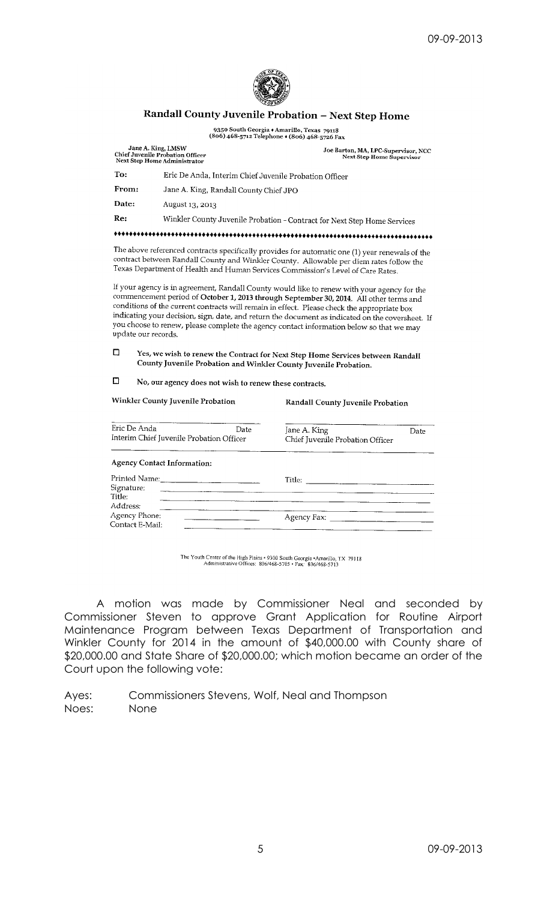

# Randall County Juvenile Probation - Next Step Home

9350 South Georgia + Amarillo, Texas 79118<br>(806) 468-5712 Telephone + (806) 468-5726 Fax

Joe Barton, MA, LPC-Supervisor, NCC<br>Next Step Home Supervisor

Randall County Juvenile Probation

Jane A. King, LMSW<br>Chief Juvenile Probation Officer<br>Next Step Home Administrator To: Eric De Anda, Interim Chief Juvenile Probation Officer Jane A. King, Randall County Chief JPO From: Date: August 13, 2013 Winkler County Juvenile Probation - Contract for Next Step Home Services Re:

The above referenced contracts specifically provides for automatic one  $(1)$  year renewals of the contract between Randall County and Winkler County. Allowable per diem rates follow the Texas Department of Health and Human Services Commission's Level of Care Rates.

If your agency is in agreement, Randall County would like to renew with your agency for the commencement period of October 1, 2013 through September 30, 2014. All other terms and conditions of the current contracts will remain in effect. Please check the appropriate box indicating your decision, sign, date, and return the document as indicated on the coversheet. If you choose to renew, please complete the agency contact information below so that we may update our records.

 $\Box$ Yes, we wish to renew the Contract for Next Step Home Services between Randall County Juvenile Probation and Winkler County Juvenile Probation.

 $\Box$ No, our agency does not wish to renew these contracts.

Winkler County Juvenile Probation

| Eric De Anda<br>Interim Chief Juvenile Probation Officer | Date | Jane A. King<br>Chief Juvenile Probation Officer                                                                       | Date |
|----------------------------------------------------------|------|------------------------------------------------------------------------------------------------------------------------|------|
| <b>Agency Contact Information:</b>                       |      |                                                                                                                        |      |
| Printed Name:<br>Signature:<br>Title:                    |      | Title: $\frac{1}{\sqrt{1-\frac{1}{2}}\sqrt{1-\frac{1}{2}}\sqrt{1-\frac{1}{2}}\sqrt{1-\frac{1}{2}}\sqrt{1-\frac{1}{2}}$ |      |
| Address:<br>Agency Phone:<br>Contact E-Mail:             |      | Agency Fax: ________                                                                                                   |      |

The Youth Center of the High Plains • 9300 South Georgia • Amarillo, TX 79118<br>Administrative Offices: 806/468-5705 • Fax: 806/468-5713

A motion was made by Commissioner Neal and seconded by Commissioner Steven to approve Grant Application for Routine Airport Maintenance Program between Texas Department of Transportation and Winkler County for 2014 in the amount of \$40,000.00 with County share of \$20,000.00 and State Share of \$20,000.00; which motion became an order of the Court upon the following vote: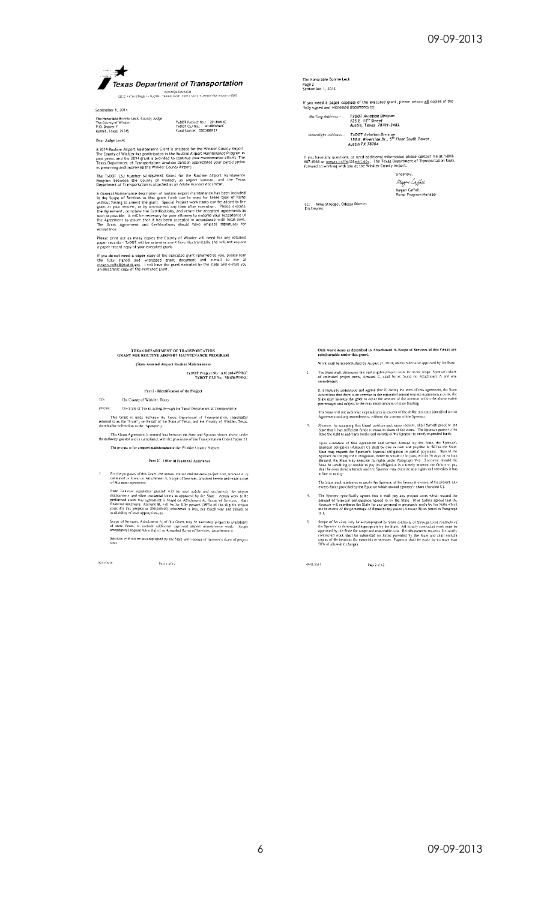

AWARDN DIVISION 1<br>123 E INTHISTABEL - AUSTIN TEXAS 78701 2481 - SISMIN-ASOD - FAXIST2M16-4510

September 1, 2014 The Honorable Bonnie Leck, County Judge<br>The County of Winkler<br>P.O. Drawer Y<br>Kermit, Texas 79745

TxDOT Project No.: 2014WNKC<br>TxDOT CSJ No.: 441406WNKC<br>Fund Source: 3502480927

Dear Judge Leck: A 2014 Routine Airport Maintenance Grant is enclosed for the Winkler County Airport.<br>The County of Winkler has participated in the Routine Airport Maintenance Program in<br>past years, and the 2014 grant is provided to contin

The TxDOT CSJ Number M1406WNKC Grant for the Routine Airport Maintenance<br>Program between the County of Winkler, as airport sponsor, and the Texas<br>Department of Transportation is attached as an Adobe Acrobat document.

experiment or italysportation is attached as an Adobe Acrobal document.<br>A General Maintenance description of routine amport maintenance has been included<br>in the Scope of Services so that grant funds can be used for these t

Please print out as many copies the County of Winkler will need for any retained<br>paper records - TxDOT will be retaining grant files electronically and will not require<br>a paper record copy of your executed grant.

If you do not need a paper copy of the executed grant returned to you, please scan<br>the "fully" signed and "witnessed" grant document and e-mail to me at<br>megan.caffall@txdot\_goy. I with have the grant executed by the state

TEXAS DEPARTMENT OF TRANSPORTATION GRANT FOR ROUTINE AIRPORT MAINTENANCE PROGRAM (State Assisted Airport Routine Maintenance)

# TxDOT Project No.: AM 2014WNKC<br>TxDOT CSJ No.: M1406WNKC

Part I - Identification of the Project

 $\infty$ 

The County of Winkler, Texas<br>The State of Texas, acting through the Texas Department of Transportation  $FROM$ : This Grant is made between the Texas Department of Transportation, (benefindter referred to as the "State"), on behalf of the State of Texas, and the County of Winkler, Texas, thereinafter referred to as the "Sponsor").

This Grant Agreement is entered into between the State and Sponsor shown above, under<br>the authority granted and in compliance with the provisions of the Transportation Code Chapter 21. The project is for airport maintenance at the Winkler County Airport

#### Part II - Offer of Financial Assistance

For the purposes of this Grant, the annual routine maintenance project elect, Amount A, is estimated as found on Attachment A, Scope of Services, attached berefo and made a part of this grant agreement.  $\mathbf{r}$ 

State formula assistance granted will be used solely and exclusively for airport maintenance and other incidental lierns as approved by the State. Actual work to be performed and<br>reference and other incidental lierns as a

Scope of Services, Attachment A, of this Grant, may be amenified, subject to availability<br>of state funds, to include additional approved airport maintenance work. Scope<br>amendments require submittal of an Amended Scope of S Services will not be accomplished by the State until receipt of Sponsor's share of project costs.

05417014

Page | of 17

The Honorable Bonnie Leck<br>Page 2<br>September 1, 2013

If you need a paper cop{ies} of the executed grant, please return all copies of the<br>fully signed and witnessed documents to:

Overnight Address - - TxDOT Aviation Division<br>- 150 E. Riverside Dr., 5<sup>th</sup> Floar South Tower,<br>- Austin TX 78704

If you have any questions, or need additional information please contact me at 1-800-<br>687-4568 or <u>megan.caffal</u>l@tx<u>dnt.gov</u>. The Texas Department of Transportation looks<br>forward to working with you at the Winkler County

Sincerely Magan Caffael Megan Caffall<br>Ramp Program Manager

cc: Mike Stroope, Odessa District<br>Enclosures

Only work items as described in Attachment A, Scope of Services of this Grant are<br>reimbursable under this grant.

- Work shall be accomplished by August 31, 2014, unless inherwise approved by the State The State shall determine fair and eligible project costs for work scope. Sponsor's share of estimated project ensis, Amount C, shall be as found on Attachment A and any amendments.
- It is mutually understood and agreed that if, during the term of this agreement, the Siate<br>determines that there is an overtun in the estimated annual fourite matricmine costs, the<br>State may increase the great to cover th
- The State will not authorize expenditures in excess of the dollar amounts identified in this<br>Agreement and any amondments, without the consent of the Sponsor.
- Sponsor, by accepting this Grant certifies and, upon request, shall furnish proof to the<br>State that it has sufficient funds to meet its share of the costs. The Sponsor grants to the<br>State the right to audit any books and r
- Upon execution of this Agreement and written demand by the State, the Spanior's financial obligation (Ameann C) shall be due in cash and payable in full to the Sue Tang Present the Spanior's financial obligation in partia
- The State shall reimburse or credit the Sponsor, at the financial closure of the project, any excess funds provided by the Sponsor which exceed Sponsor's share (Amount C).
- The Sponsor specifiedly agrees that it shall pay any project share (Afteont C).<br>
The Sponsor specifiedly agrees that it shall pay any project costs which exceed the<br>
amount of financial parxelpation agreed to by the State.
- Scope of Services may be accomplished by Sitte contracts or through local contracts of the Spinors as determined appropriate by the Sixte. All locally contracted vork must be approved by the Sixte for scope and reasonable  $\overline{\mathbf{S}}$

Page 2 of 12

09/01/2014

 $\tilde{\chi}$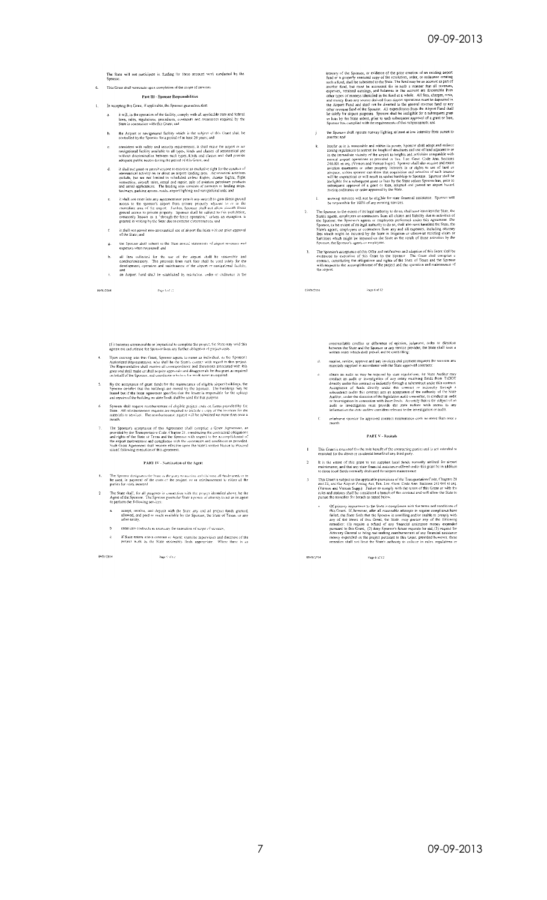The State will not participate in funding for force account work conducted by the Shonese.

6. This Grant shall terminate upon completion of the scope of services.

#### Part III - Sponsor Responsibilities

- In accepting this Grant, if applicable, the Sponsor guarantees that:
- it will, in the operation of the facility, comply with all applicable state and federal<br>laws, rules, regulations, procedures, obvenants and assurances required by the<br>State in connection with this Grant; and
- b.  $\blacksquare$  the Arport or navigational facility which is the subject of this Grant shall be controlled by the Sponsol for a period of at least 20 years; and
- consistent with safety and security requirements, it shall make the amport or arr away<br>aparopational featility available to all types, kinds and classes of seronautical use<br>withour discrimination between such types, kinds
- and the general anyons to exercise an exclusive right for the conduct of the match of the system of the system of the system of the match and the system of the system of the system of the system of the system of the syste  $\mathbf{d}.$
- $u_0 \rightarrow v_0 x$ , parting spiving, ross), stephen thereing and navigation<br>at axis, and it shall are enter into any agence men permit any arcredit to gain direct from<br>access to the spensor's airport from entired extended area o c.
- it shall not permit non-aeronautical use of alrport facilities without prior approval<br>of the State; and  $\bar{t}$
- the Sponsor shall submit to the State anitual statements of airport revenues and<br>expenses when requested; and  $\mathbf{g}.$
- all fors collected for the use of the airport shall be reasonable and<br>nondiscriminatory. The proceeds from such foos shall be used solely for the<br>development, operation and onaintenance of the airport or navigational facil  $\mathbf{h}$
- and<br>an Airport Fund shall be established by resolution, order or ordinance in the  $\hat{\mathbf{r}}_i$

Page Vol.12

09/01/2014

If it becomes unreasonable or impractical to complete the project, the State may void this<br>agreement and release the Sponsor from any further obligation of project costs.

- Upon cutering arts this Grant, Sponsor agrees to name an individual, as the Sponsor's Authorized Representative, who shall be the State's contact with regard to this project. The Representative shall receive all correspon
- By the acceptance of grant funds for the maintenance of eligible airport buildings, the Specific conditions are cowned by the Sponsor. The buildings may be leased but if the lease agreement specifies that the lease of the
- Sponsor shall request reimbursement of eligible project costs on forms provided by the<br>State. All reimbursement requests are required to include a copy of the involves for the<br>materials or services. The reimbursement reque
- The Sponsor's acceptance of this Agreement shall comprise a Grant Agreement, as<br>provided by the Transpertation Code. Cherter 21, constituting the contactional obligations and rights of the State of Tecass and the Sponsor  $\gamma$

#### PART IV - Nomination of the Agent

- The Sponsor dissignates the State as the party to receive and disjourse all funds used, or to be used, in payment of the costs of the project, or in reimbursement to either of the parties for costs incurred  $\bar{\mathbf{L}}$
- The State shall, for all purposes in commetion with the project identified above, be the<br>Agent of the Specsor. The Sponsor grants the State a power of attorney to act as its agent<br>to perform the following services:  $\overline{\mathbf{2}}$ 
	- accept, receive, and deposit with the State any and ad project funds granted,<br>alibroed, and paid or made worldoble by the Sponsor, the State of Texas, or any added the  $\mathbf{a}_{\mathbf{c}}$
	- enter into contracts as necessary for execution of scope of varyices,
	- if State enters into a contract as Agent; exercise supervision and direction of the<br>project work, as the State reasonably, finds, appropriate, ... Where there is an

09/01/2014 Page 5 of 12 treasury of the Sponsor, or evidence of the prior creation of an existing amp<br>of fund or a properly executed copy of the resolution, order, or ordinate<br>c entering such a final passimilible substituted to the State. The fu

- the Sponsor shall operate runway lighting at least at low intensity from sunset to sunrise; and  $\mathbf{j}$
- sturings: and<br>
sturings: and virtual and within its power, Sponsors shall adopt and enforce<br>
insults as the resonable and within its power, Sponsors shall adopt and enforce<br>
zoning regulations to restrict the hapit of stud  $\mathbf{k}$
- mowing services will not be eligible for state financial assistance. Sponsor will<br>be rasponsible for 100% of any mowing services.  $\mathbf{L}^{(1)}$
- The Sponsor, to the exert of stir pulsoning scavices.<br>
State's agents, the Bistel, the distribution of the state and stated and state's agents, conditions and statistic state's agents, or contractors formal claims and sta  $\sim 2.$  .
	- The Sponsor's acceptance of this Offer and radification and subption of this Grant shall<br>evidenced by execution of this Grant by the Sponsor. The Grant shall continue<br>contract, constituting the obligations and rights of t  $\bar{\mathbf{3}}$

Page 4 of 12

09/01/2014

irreconcilable conflict or difference of opinion, judgment, order or direction<br>hetween the State and the Sponsor or any service provider, the State shall issue a<br>written order which shall prevail and be controlling:

- d. receive, review, approve and pay invoices and payment requests for services and<br>materials supplied in accordance with the State approved contracts:
- obtain an audit or investigation of any cate regulations; the Nate Auditor may conduct an audit or investigation of any entary receiving finds from TsDOT directly under this conduct an investigation of any entary receivin  $\langle \hat{\mathbf{e}}_i \rangle$
- $E_{\rm c}$  reimburse sponsor for approved contract maintenance costs no more than once a month

#### **PART V - Recitals**

- This Grant is exumited for the sole benefit of the contracting parties and is not intended or<br>executed for the direct or incidental benefit of any third party.
- It is the intent of this grant to not supplant local funds normally utilized for airport<br>maintenance, and that any state financial assistance offered under this grant be in addition<br>to those local funds normally dedicated  $\bar{2}$
- This Grant is subject to the applicable provisions of the Transportation Code, Chapters 21 and 22, and This Airport 7.00mg Act, Tex. Loc. Google Ann Section 2414 001 14 sec.) (Vernon and Verrom Supp.) Pailure to comply wi  $-3-$ 
	- Of primary importance to the State is compliance with the terms and conditions of<br>this Grant. If, however, after all reasonable attempts to require compliance have<br>failed, the State finds that the Sphotes is unwilling aut  $\mathbf{a}$  .

09/01/2014

Page 6 of 12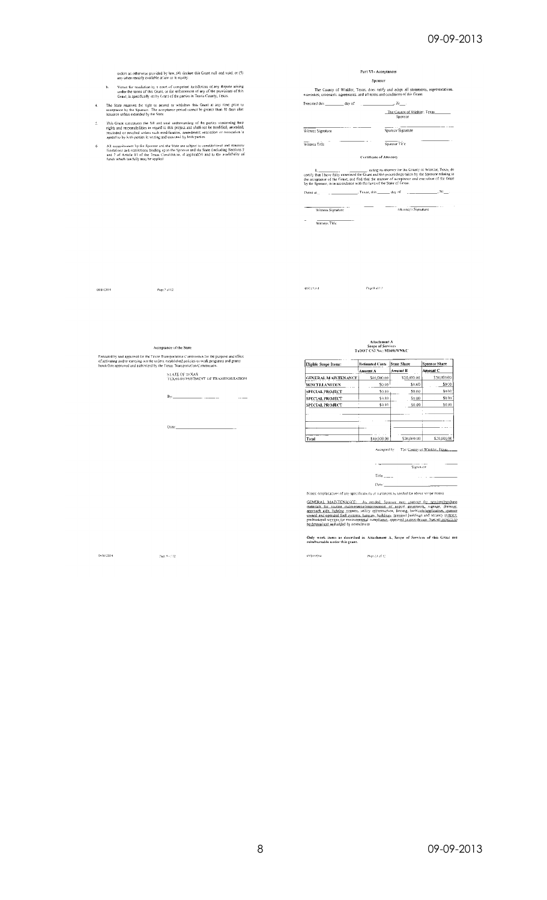oniers as otherwise provided by law, (4) declare this Grant null and void, or (5)<br>any other reniedy available at is wor in equity.

- b. Venue for resolution by a court of competent jurisdiction of any dispute arising<br>under the terms of this Grant, or for enforcement of any of the provisions of this<br>Grant, is specifically set by Grant of the parties in T
- 4. The State reserves the right to antend or withdraw this Grant at any time prior to acceptance by the Spunsor. The acceptance period cannot be greater than 30 days after issuance embess extended by the State.
- This Grant consistuies the full and total understanding of the parties concerning their rights and responsibilities in regard to this project and shall not be meaded, amended, researched to revolved unless such modificatio  $\hat{\underline{s}}$
- All commitments by the Sponsor and the State are subject to constitutional and statutory<br>limitations and restrictions binding upon the Sponsor and the State (including Sections 5<br>and 7 of Article 11 of the Texas Constituti  $\overline{6}$

| Part VI - Acceptances                                                          |                                                                                      |
|--------------------------------------------------------------------------------|--------------------------------------------------------------------------------------|
| Sponsor                                                                        |                                                                                      |
| warranties, covenants, agreements, and all terms and conditions of this Grant. | The County of Winkler. Texas, does ratify and adopt all statements, representations. |
|                                                                                |                                                                                      |
|                                                                                | The County of Winkier, Texas.<br>Snonsor                                             |
| Witness Signature                                                              | Sponsor Signature                                                                    |
| Witness Title                                                                  | Sponsor Title                                                                        |
| <b>Certificate of Attorney</b>                                                 |                                                                                      |
|                                                                                | and contract and contract the state of an agent of Miladelphia. There is the         |

 $\mathbf{I}_1$  and Theve folly examined the Guate statemey for the County of Winkler, Texas, do term is the term of the Guate and the procedings taken by the Sponsor relating to the acceptance of the Grant, and find that the m 

Witness Signature **Community of the Community of Signature** (Community of Signature Community) of Signature (Community) of Signature (Community) of Signature (Community) of Signature (Community) of Signature (Community) of

 $\equiv$   $\qquad$   $\qquad$   $\qquad$   $\qquad$   $\qquad$   $\qquad$   $\qquad$   $\qquad$   $\qquad$   $\qquad$   $\qquad$   $\qquad$   $\qquad$   $\qquad$   $\qquad$   $\qquad$   $\qquad$   $\qquad$   $\qquad$   $\qquad$   $\qquad$   $\qquad$   $\qquad$   $\qquad$   $\qquad$   $\qquad$   $\qquad$   $\qquad$   $\qquad$   $\qquad$   $\qquad$   $\qquad$   $\qquad$   $\qquad$   $\qquad$   $\qquad$ 

 $099002014$ 

Page 7 of 12  $^\circ$ 

 $6951204^\circ$ Page 8 of  $\Omega$ 

Acceptance of the State

Executed by and approved for the Texas Transportation Commission for the purpose and effect<br>of activating and/or earrying out the orders, established policies or work programs and granis<br>heretofore approved and authorized

STATE OF TEXAS<br>TEXAS DEPARTMENT OF TRANSPORTATION

 $8y$ <sub>-1</sub>  $\overline{\phantom{a}}$ 

# Attachment A<br>Scope of Services<br>TxDOT CSJ No.: M1406WNKC

| Eligible Scope Items:      | <b>Fstimated Costs</b> | State Share | Sponsor Share |
|----------------------------|------------------------|-------------|---------------|
|                            | Amount A               | Amount B    | Amount C      |
| <b>GENERAL MAINTENANCE</b> | \$40,000.00            | \$20,000.00 | \$20,000.00   |
| MISCELLANEOUS              | \$0.00                 | \$0.00      | \$0.00        |
| <b>SPECIAL PROJECT</b>     | \$0.00                 | 50.00       | \$0.00        |
| <b>SPECIAL PROJECT</b>     | \$6,00                 | 50.00       | \$0.00        |
| <b>SPECIAL PROJECT</b>     | sa an                  | \$0.00      | \$0.00        |
|                            |                        |             |               |
|                            |                        |             |               |
|                            |                        |             |               |
|                            |                        |             |               |
| Total                      | \$40,000.00            | \$20,000.00 | \$20,000.00   |

Accepted by The County of Winkler, Texas

 $\begin{tabular}{c} \bf - 1 & 1 \\ \bf - 2 & 1 \\ \bf - 3 & 1 \\ \bf - 4 & 1 \\ \bf - 5 & 1 \\ \bf - 5 & 1 \\ \bf - 6 & 1 \\ \bf - 7 & 1 \\ \bf - 8 & 1 \\ \bf - 1 & 1 \\ \bf - 1 & 1 \\ \bf - 1 & 1 \\ \bf - 1 & 1 \\ \bf - 1 & 1 \\ \bf - 1 & 1 \\ \bf - 1 & 1 \\ \bf - 1 & 1 \\ \bf - 1 & 1 \\ \bf - 1 & 1 \\ \bf - 1 & 1 \\ \bf - 1 & 1 \\ \bf - 1 & 1 \\ \bf - 1 & 1 \\ \bf - 1$ 

 $\text{Tr}(\mathbf{k}_{\text{max}}) = \begin{pmatrix} 1 & 0 & 0 & 0 \\ 0 & 0 & 0 & 0 \\ 0 & 0 & 0 & 0 \\ 0 & 0 & 0 & 0 \\ 0 & 0 & 0 & 0 \\ 0 & 0 & 0 & 0 \\ 0 & 0 & 0 & 0 \\ 0 & 0 & 0 & 0 \\ 0 & 0 & 0 & 0 \\ 0 & 0 & 0 & 0 \\ 0 & 0 & 0 & 0 \\ 0 & 0 & 0 & 0 \\ 0 & 0 & 0 & 0 \\ 0 & 0 & 0 & 0 & 0 \\ 0 & 0 & 0 & 0 & 0 \\ 0 & 0 & 0 & 0$ Date:\_\_\_\_\_\_\_

Notes: (explanations of any specifications or variances as needed for above scope items)

 $\rm{GEMERAL\_MANITENANCE}$ . As needed, Steama may general for gervice/purchase materials for routine maintenance/intervenent of angoting assumption and operator of angoting assumption of an analysis of propagation and operated fuel a

Only work items as described in Attachment A, Scope of Services of this Grant are<br>reimbursable under this grant.

09/01/2014

 $\label{eq:2.1} \mathbf{Page}(9)\in\mathbb{C}$ 

 $1596199914$ Pape 23 of 12

09-09-2013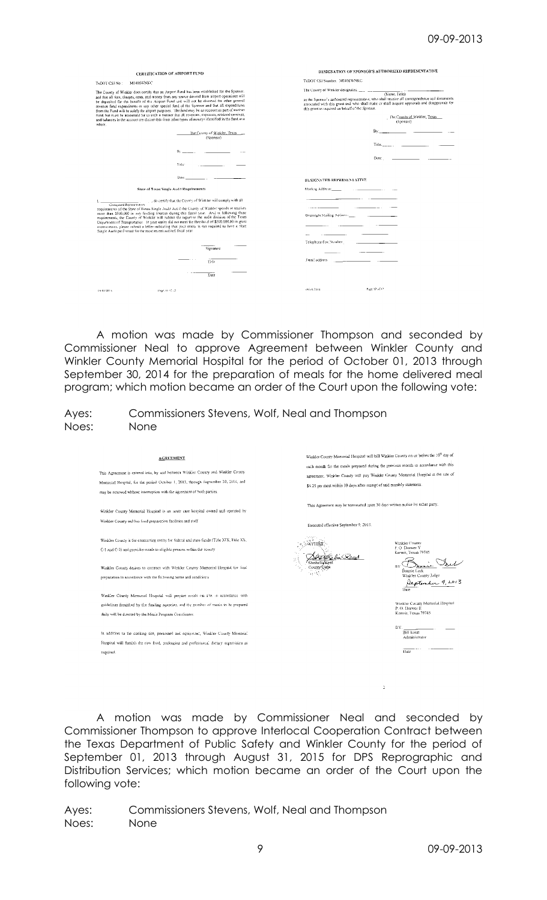| CERTIFICATION OF AIRPORT FUND                                                                                                                                                                                                                                                                                                                                                                                                                                                                                                                                                                                                                                                                                            | DESIGNATION OF SPONSOR'S AUTHORIZED REPRESENTATIVE                                                                                                                                                                                                                                                                                                                 |
|--------------------------------------------------------------------------------------------------------------------------------------------------------------------------------------------------------------------------------------------------------------------------------------------------------------------------------------------------------------------------------------------------------------------------------------------------------------------------------------------------------------------------------------------------------------------------------------------------------------------------------------------------------------------------------------------------------------------------|--------------------------------------------------------------------------------------------------------------------------------------------------------------------------------------------------------------------------------------------------------------------------------------------------------------------------------------------------------------------|
| M1406WNKC<br>TxDOT CSJ No:                                                                                                                                                                                                                                                                                                                                                                                                                                                                                                                                                                                                                                                                                               | TxDOT CSI Number. M1406WNKC                                                                                                                                                                                                                                                                                                                                        |
| The County of Winkler does certify that an Amport Fund has been established for the Sponsor.<br>and that all fees, charges, rents, and money from any source derived from airport operations will<br>be deposited for the benefit of the Airport Fund and will not be diverted for other general<br>revenue fund expenditures or any other special fund of the Sponsor and that all expenditures<br>from the Fund will be solely for airport purposes. The fund may be an account as part of another<br>fund, but must be accounted for in such a manner that all revenues, expenses, retained carnings,<br>and balances in the account are discernible from other types of moneys identified in the fund as a<br>whole. | The County of Winkler designates, ___ __ __ ___ (Name, Title)<br>as the Sponsor's authorized representative, who shall receive all correspondence and documents<br>associated with this grant and who shall make or shall acquire approvals and disapprovals for<br>this grant as required on behalf of the Sponsor.<br>The County of Winkler, Texas<br>(Seconder) |
| The County of Winkler, Texas<br>(Spensor)                                                                                                                                                                                                                                                                                                                                                                                                                                                                                                                                                                                                                                                                                | Bv:<br>the contract of the contract of the                                                                                                                                                                                                                                                                                                                         |
| $B_2$ and $B_3$<br>Title                                                                                                                                                                                                                                                                                                                                                                                                                                                                                                                                                                                                                                                                                                 | Date:<br><u> 1989 - Jan Barbara Barbara</u>                                                                                                                                                                                                                                                                                                                        |
| Date:                                                                                                                                                                                                                                                                                                                                                                                                                                                                                                                                                                                                                                                                                                                    | DESIGNATED REPRESENTATIVE                                                                                                                                                                                                                                                                                                                                          |
| State of Texas Single Audit Requirements                                                                                                                                                                                                                                                                                                                                                                                                                                                                                                                                                                                                                                                                                 | Masling Address: The Commission of the Contract of the Contract of the Contract of the Contract of the Contract of the Contract of the Contract of the Contract of the Contract of the Contract of the Contract of the Contrac                                                                                                                                     |
| (Designated Representation) [1] . , do dentify that the County of Winkler will comply with all<br>requirements of the State of Texas Single Auda Act if the County of Winkler spends or receives<br>more than \$500,000 in any funding sources during this fiscal year. And in following those<br>requirements, the County of Winkler will submit the report to the audit division of the Texas<br>Department of Transportation. If your entity did not meet the threshold of \$500,000,00 in grant<br>expenditures, please submit a letter indicating that your entity is not required to have a State<br>Single Audit performed for the most recent audited fiscal year.                                               | Ovemight Mailing Address:                                                                                                                                                                                                                                                                                                                                          |
| Signature                                                                                                                                                                                                                                                                                                                                                                                                                                                                                                                                                                                                                                                                                                                | Telephone/Fax Number:                                                                                                                                                                                                                                                                                                                                              |
| Title                                                                                                                                                                                                                                                                                                                                                                                                                                                                                                                                                                                                                                                                                                                    | Fmail address                                                                                                                                                                                                                                                                                                                                                      |
| Date                                                                                                                                                                                                                                                                                                                                                                                                                                                                                                                                                                                                                                                                                                                     |                                                                                                                                                                                                                                                                                                                                                                    |
| Page 11 of 12<br>69.61.2014                                                                                                                                                                                                                                                                                                                                                                                                                                                                                                                                                                                                                                                                                              | Page 12 of 12<br>49441.2014                                                                                                                                                                                                                                                                                                                                        |

A motion was made by Commissioner Thompson and seconded by Commissioner Neal to approve Agreement between Winkler County and Winkler County Memorial Hospital for the period of October 01, 2013 through September 30, 2014 for the preparation of meals for the home delivered meal program; which motion became an order of the Court upon the following vote:

Ayes: Commissioners Stevens, Wolf, Neal and Thompson Noes: None

| <b>AGREEMENT</b><br>This Agreement is entered into, by and between Winkler County and Winkler County<br>Memorial Hospital, for the period October 1, 2013, through September 30, 2014, and<br>may be renewed without interruption with the agreement of both parties.                                                          | Winkler County Memorial Hospital will bill Winkler County on or before the 10 <sup>2</sup> day of<br>each month for the meals prepared during the previous month in accordance with this<br>agreement. Winkler County will pay Winkler County Memorial Hospital at the rate of<br>\$4.25 per meal within 30 days after receipt of said monthly statement. |  |  |
|--------------------------------------------------------------------------------------------------------------------------------------------------------------------------------------------------------------------------------------------------------------------------------------------------------------------------------|-----------------------------------------------------------------------------------------------------------------------------------------------------------------------------------------------------------------------------------------------------------------------------------------------------------------------------------------------------------|--|--|
| Winkler County Memorial Hospital is an acute care hospital owned and operated by<br>Winkler County and has food preparation facilities and staff                                                                                                                                                                               | This Agreement may be terminated upon 30 days written notice by either party.<br>Executed effective September 9, 2013.                                                                                                                                                                                                                                    |  |  |
| Winkler County is the contracting entity for federal and state funds (Title XIX, Title XX,<br>C-1 and C-2) and provides meals to eligible persons within the county<br>Winkler County desires to contract with Winkler County Memorial Hospital for food<br>preparation in accordance with the following terms and conditions. | Winkler County<br>P.O. Drawet Y.<br>Kermit, Texas 79745<br>BY<br>Bonnie Leck<br>Winkler County Judge                                                                                                                                                                                                                                                      |  |  |
| Winkler County Memorial Hospital will prevare meals on site in accordance with<br>guidelines furnished by the funding agencies, and the number of meals to be prepared<br>daily will be directed by the Meals Program Coordinator.                                                                                             | leptercher 9, 2013<br>Date<br>Winkler County Memorial Hospital<br>P.O. Drawer H.<br>Kermit, Texas 79745                                                                                                                                                                                                                                                   |  |  |
| In addition to the cooking site, personnel and equipment, Winkler County Memorial<br>Hospital will fumish the raw food, packaging and professional dietary supervision as<br>required.                                                                                                                                         | BY.<br><b>Bill Ernst</b><br>Administrator<br>Date                                                                                                                                                                                                                                                                                                         |  |  |
|                                                                                                                                                                                                                                                                                                                                | D.                                                                                                                                                                                                                                                                                                                                                        |  |  |

A motion was made by Commissioner Neal and seconded by Commissioner Thompson to approve Interlocal Cooperation Contract between the Texas Department of Public Safety and Winkler County for the period of September 01, 2013 through August 31, 2015 for DPS Reprographic and Distribution Services; which motion became an order of the Court upon the following vote: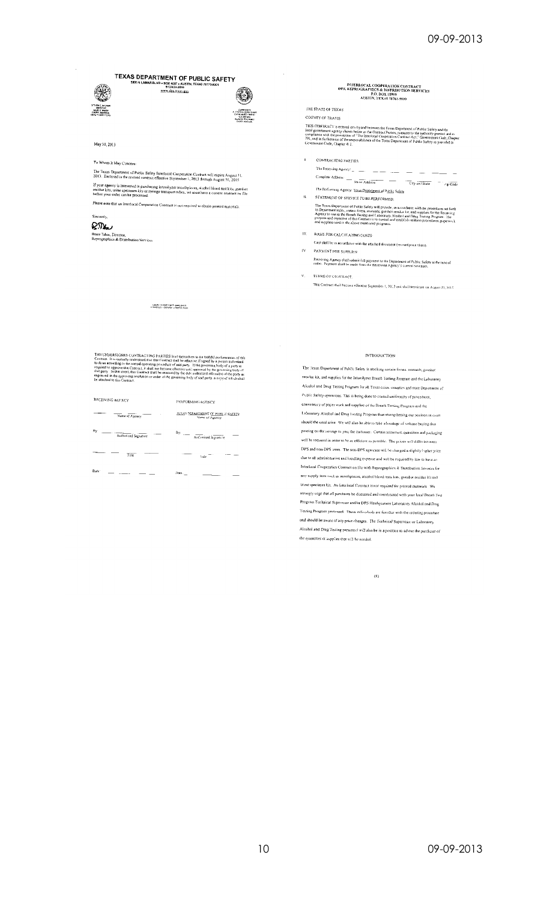TEXAS DEPARTMENT OF PUBLIC SAFETY 80X 4087 = AUSTIN<br>512/424-2000<br>www.dps.texas.gov



May 31, 2013

⋘

#### To Whom It May Concern:

The Texas Department of Public Safety Interlocal Cooperation Contract will expire August 31,<br>2013. Enclosed is the revised contract effective September 1, 2013 through August 31, 2015 If your agency is interested in purchasing intoxityzer mouthpices, alcehol blood test kits, gunshot<br>residue kits, urine specimen kits of syringe transport tubes, we must have a current coutract on file<br>before your order ca

Please note that an Interlocal Cooperation Contract is not required to obtain printed materials. Sincerely,

# $R_{\text{W}}$

Bruce Tabor, Director,<br>Reprographies & Distribution Services

|   | INTERLOCAL COOPERATION CONTRACT<br>DPS, REPROGRAPHICS & DISTRIBUTION SERVICES<br>P.O. BOX 15999<br>AUSTIN, TEXAS 78761-5999                                                                                                                                                                                                                                                                                                                                |
|---|------------------------------------------------------------------------------------------------------------------------------------------------------------------------------------------------------------------------------------------------------------------------------------------------------------------------------------------------------------------------------------------------------------------------------------------------------------|
|   | THE STATE OF TEXAS                                                                                                                                                                                                                                                                                                                                                                                                                                         |
|   | <b>COUNTY OF TRAVIS</b>                                                                                                                                                                                                                                                                                                                                                                                                                                    |
|   | THIS CONTRACT is extered into by and hetween the Texas Department of Public Safety and the<br>local government agency shown below as the Contract Partics, pursuant to the authority granted and in<br>compliance with the provisions of "The Interlocal Cooperation Contract Act," Government Code, Chapter<br>791, and in furthermice of the responsibilities of the Toxas Department of Public Safety as provided in<br>Government Code, Chapter 414.   |
| Ï | <b>CONTRACTING PARTIES</b>                                                                                                                                                                                                                                                                                                                                                                                                                                 |
|   | The Receiving Agency:                                                                                                                                                                                                                                                                                                                                                                                                                                      |
|   | Complete Address:<br>Street Address<br>City and State<br>∕m Code                                                                                                                                                                                                                                                                                                                                                                                           |
|   | The Performing Agency: Texas Department of Public Safety                                                                                                                                                                                                                                                                                                                                                                                                   |
| n | STATEMENT OF SERVICE TO BE PERFORMED:                                                                                                                                                                                                                                                                                                                                                                                                                      |
|   | The Texas Department of Fublic Safety will provide, in accordance with the procedures set forth<br>in Department rules, certain forms, manuals, gunshot resulte ket, and supplies for the Receiving<br>Agency to use in the Breath Testing and Laboratory Alcobol and Drug Testing Program. The<br>purpose and objective of this Contract is to control and establish imitions procedures, paperwick<br>and supplies used in the above mentioned programs. |

BASIS FOR CALCULATING COSTS

Cost shall be in accordance with the attached document (revised price sheet).  $\bar{\nu}$ PAYMENT FOR SUPPLIES:

Receiving Agency shall submit field payment to the Department of Public Safety at the time of<br>order. Payment shall be made from the Receiving Agency's current tevenues.

TERMS OF CONTRACT.  $\mathbf{v}$ 

This Contract shall become effective September 1, 2013 and shall terminate on August 31, 2015

**E CADERSIGNED CONTRACTING PARTIES** hand imaginates to the failing term<br>attack the multiply understood find that Contract studies of the failence<br>of the second particular procedure of said party. The processes<br>the consequ

-<br>LGOM / / YOR TUNTY SARLON' //<br>COURTS ST - SCRAGE - INDERCTION

| RECEIVING AGENCY           | PERFORMING AGENCY                                          |  |  |
|----------------------------|------------------------------------------------------------|--|--|
| Name of Agency             | <b>JEXAS DEPARTMENT OF PUBLIC SAFRTY</b><br>Name of Agency |  |  |
| By<br>Authorized Signature | By, $\frac{1}{1}$<br>Authorized Signature                  |  |  |
| Title                      | Title                                                      |  |  |
| Date:                      | Date.                                                      |  |  |

#### **INTRODUCTION**

The Texas Department of Public Safety is stocking certain forms, manuals, ginistic residue kit, and supplies for the Intoxilyzer Breath Testing Program and the Laboratory Alcohol and Drug Testing Program for all Texas caties, counties and state Department of Public Safety operations. This is being done to control uniformity of procedures, consistency of paper work and supplies of the Breath Testing Program and the Laboratory Alcohol and Drug Testing Program thus strengthening our position in court should the need arise. We will also be able to take advantage of volume buying thus passing on the savings to you, the customer. Certain minimum quantities and packaging will be required in order to be as efficient as possible. The prices will differ between DPS and non-DPS users. The non-DPS agencies will be charged a slightly higher price due to all administrative and handling expense and will be required by law to have an Interlocal Cooperation Contract on file with Reprographics & Distribution Services for any supply item such as mouthpieces, alcohol blood tests kits, gunshot residue kit and urine specimen kit. An Interlocal Contract is not required for printed materials  $\mathbf{W}\mathbf{c}$ strongly urge that all purchases be discussed and coordinated with your local Breath Test Program Technical Supervisor and/or DPS Readquarters Laboratory Alcohol and Drug Testing Program personnel. These individuals are familiar with the ordering procedure and should be aware of any price changes. The Technical Supervisor or Laboratory Alcohol and Drug Testing personnel will also be in a position to advise the purchaser of the quantities of supplies that will be needed.

 $\bar{\omega}$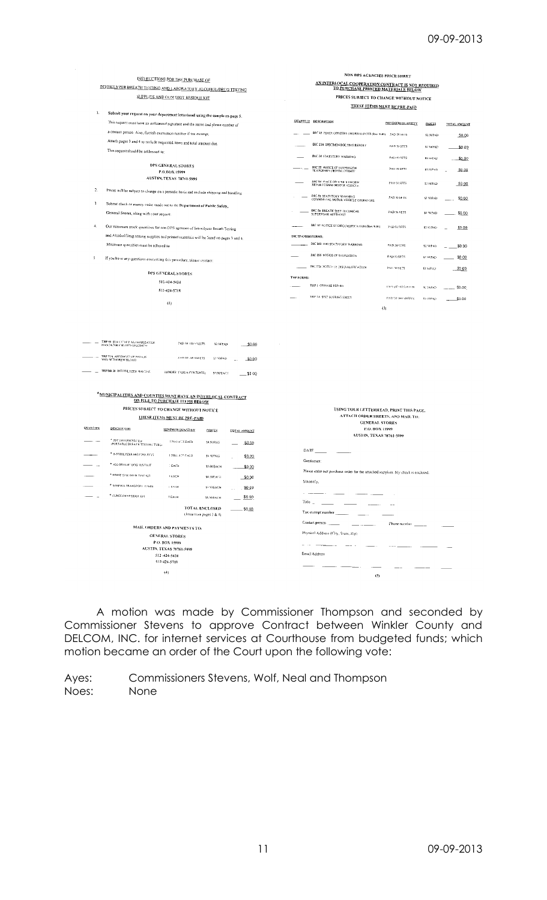|                                         |                                                                                                                                                   |                                                                     |                                                    |                             |                                                            | NON DPS AGENCIES PRICE SHEET                                                     |                    |               |              |
|-----------------------------------------|---------------------------------------------------------------------------------------------------------------------------------------------------|---------------------------------------------------------------------|----------------------------------------------------|-----------------------------|------------------------------------------------------------|----------------------------------------------------------------------------------|--------------------|---------------|--------------|
| <b>INSTRUCTIONS FOR THE PURCHASE OF</b> |                                                                                                                                                   |                                                                     | AN INTERLOCAL COOPERATION CONTRACT IS NOT REQUIRED |                             |                                                            |                                                                                  |                    |               |              |
|                                         | INFOXILYZER BREATH TESTING AND LABORATORY ALCOHOLORUG TESTING                                                                                     |                                                                     |                                                    |                             | TO PURCHASE PRINTED MATERIALS BELOW                        |                                                                                  |                    |               |              |
|                                         |                                                                                                                                                   | SUPPLIES AND GUN SHOT RESIDUE KIT                                   |                                                    |                             |                                                            | PRICES SUBJECT TO CHANGE WITHOUT NOTICE                                          |                    |               |              |
| I.                                      |                                                                                                                                                   |                                                                     |                                                    |                             |                                                            | THESE ITEMS MUST BE PRE-PAID                                                     |                    |               |              |
|                                         | Submit your request on your department letterhead using the sample on page 5.                                                                     |                                                                     |                                                    |                             |                                                            | <b>QUANTITY DESCRIPTION</b>                                                      | MINIMUM OCANTITY   |               |              |
|                                         | This request must have an authorized signature and the name and phone number of                                                                   |                                                                     |                                                    |                             |                                                            |                                                                                  |                    | <b>PRICES</b> | TOTAL AMQUNT |
|                                         | a contact person. Also, furnish exemption number if tax exempt.                                                                                   |                                                                     |                                                    |                             |                                                            | DIC 13 PEACE OFFICERS SWORN RISPORT (Rev. 9-01) 2AD 50 SR15                      |                    | 52.50/PAD     | 50.00        |
|                                         | Attach pages 3 and 4 to include requested items and total amount due.                                                                             |                                                                     |                                                    |                             |                                                            | DIC 23A SPECIMEN ROUTING REPORT                                                  | PAD 50 SRTS        | \$2,569 AD    | _\$0.0Q      |
|                                         | This request should be addressed to:                                                                                                              |                                                                     |                                                    |                             |                                                            | DIC 24 STATUTORY WARNING                                                         | PAD SESPTS         | \$2.50 PAD    | 50.00        |
|                                         |                                                                                                                                                   | DPS GENERAL STORES                                                  |                                                    |                             |                                                            |                                                                                  |                    |               |              |
|                                         |                                                                                                                                                   | P.O.BOX 15999                                                       |                                                    |                             |                                                            | DIC 25 NUTICE OF SUSPENSION                                                      | PAU 50 SETS        | \$7.53/PAD    | \$0.00       |
|                                         |                                                                                                                                                   | AUSTIN, TEXAS 78761-5999                                            |                                                    |                             |                                                            | DIC 54 PAACE OFFICER'S SWOEN<br>REPORT COMM MOTOR VERICLE.                       | PAD SCSFTS         | \$2.90/PAD    | \$0.00       |
| $\overline{2}$ .                        | Prices will be subject to cliange on a periodic basis and include shipping and handling                                                           |                                                                     |                                                    |                             |                                                            |                                                                                  |                    |               |              |
| $\overline{\mathbf{3}}$                 |                                                                                                                                                   |                                                                     |                                                    |                             |                                                            | DIC 55 STATUTORY WARNING<br>COMMERCIAL MOTOR VEHICLE OPERATORS.                  | PAD 50 SFTS.       | \$2,50/PAD    | \$0.00       |
|                                         | Submit check or money order made out to the Department of Public Safety,<br>General Stores, along with your request.                              |                                                                     |                                                    |                             |                                                            | DIC 56 BREATH TEST DARISHICAL                                                    | PAD 50 SETS        | \$2.50/PAD    | \$0.00       |
|                                         |                                                                                                                                                   |                                                                     |                                                    |                             |                                                            | SUPERVISOR AFFIDAVIT                                                             |                    |               |              |
| $\overline{4}$                          | Our minimum stock quantities for non DPS agencies of Intoxilyzer Breath Testing                                                                   |                                                                     |                                                    |                             |                                                            | DIC ST. NOTICE OF DISQUALIFICATION (Rev. 9-01).                                  | PAD 56 SETS        | \$2.50/PAD    | \$0.00       |
|                                         | and Alcohol/Drug testing supplies and printed materials will be listed on pages 3 and 4.                                                          |                                                                     |                                                    |                             | DIC SPANISH FORMS:                                         |                                                                                  |                    |               |              |
|                                         | Minimum quantifies must be adhered to                                                                                                             |                                                                     |                                                    |                             |                                                            | DIC 248 DWI STATUTORY WARNING                                                    | PAD 50 SHTS        | \$2,50/PAD    | \$0.00       |
| 5                                       |                                                                                                                                                   |                                                                     |                                                    |                             |                                                            | DIC ISS NOTICE OF SUSPENSION                                                     | PAD SV SETS        | \$2.56.2AD    | \$0.00       |
|                                         | If you have any questions concerning this procedure, please contact:                                                                              |                                                                     |                                                    |                             |                                                            | THE 578 NOTICE OF DISQUALIFICATION.                                              |                    |               |              |
|                                         |                                                                                                                                                   | DPS GENERAL STORES                                                  |                                                    |                             |                                                            |                                                                                  | PAC 10 SETS        | \$2.50 PAD    | \$000        |
|                                         |                                                                                                                                                   | 512-424-5424                                                        |                                                    |                             | THE FORMS:                                                 | THE LOFFENSE REPORT                                                              |                    |               |              |
|                                         |                                                                                                                                                   | 512-424-5718                                                        |                                                    |                             |                                                            |                                                                                  | PAN OF 103 SHI-RIS | S. SWPATE     | \$0.00       |
|                                         |                                                                                                                                                   | (2)                                                                 |                                                    |                             |                                                            | THE 14 SEST SCORING SHEET                                                        | PAD OF THE SHEETS. | \$2,50 PAD    | \$0.00       |
|                                         | THE SE STATISTICS ALTHORIZATION<br>MANDATORY BLOOD SPECIMEN<br>THP 514 AFFIDAVIT OF PERSON<br>WHO WITHING WILLOOD<br>TRP/BR 38 INTOXILYZER MANUAL | PAD OF TOPSTEETS<br>PAD OF JUNISIAIRETS<br>(BINDER 1535 & CONTENTS) | \$2.50 P.A.D<br>\$2,50/PAD<br>57.00 EACT           | \$0.00<br>50.00<br>- \$0 00 |                                                            |                                                                                  |                    |               |              |
|                                         | * MUNICIPALITIES AND COUNTIES MUST HAVE AN INTERLOCAL CONTRACT                                                                                    | <b>ON FILE TO PURCHASE ITEMS BELOW</b>                              |                                                    |                             |                                                            |                                                                                  |                    |               |              |
|                                         | PRICES SUBJECT TO CHANGE WITHOUT NOTICE                                                                                                           |                                                                     |                                                    |                             |                                                            | USING YOUR LETTERHEAD, PRINT THIS PAGE,                                          |                    |               |              |
|                                         |                                                                                                                                                   | <b>THESE ITEMS MUST BE PRE-PAID</b>                                 |                                                    |                             | ATTACH ORDER SHEETS, AND MAIL TO:<br><b>GENERAL STORES</b> |                                                                                  |                    |               |              |
| QUANTITY                                | <b>DESCRIPTION</b>                                                                                                                                | MINIMUM QUANTITY                                                    | <b>PRICES</b>                                      | <b>TQTAL AMOUNT</b>         |                                                            | P.O. BOX 15999                                                                   |                    |               |              |
|                                         |                                                                                                                                                   | <b>LPKO of LS EACH</b>                                              |                                                    |                             |                                                            | AUSTIN, TEXAS 78761-5999                                                         |                    |               |              |
|                                         | * PBT (MOUTHPIECES)<br>(PORTABLE BREATH TESTING TUBS)                                                                                             |                                                                     | <b>M.SOFPKG</b>                                    | .S0.OD                      |                                                            | DATE                                                                             |                    |               |              |
|                                         | * INTOXIEVZER MOUTRE ECES                                                                                                                         | TPKG 32° PACE                                                       | \$4,50/26/6                                        | \$0.00                      |                                                            |                                                                                  |                    |               |              |
|                                         | * ALCOHOL II' DOD TEST KIT                                                                                                                        | <b>LEACH</b>                                                        | \$5.00 BACH                                        | \$0,00                      |                                                            | Gentlemen:                                                                       |                    |               |              |
|                                         | * URINE SPECIMEN TENT NIT                                                                                                                         | LeACH                                                               | \$4,50/EA/177                                      | \$0.00                      |                                                            | Please enter our purchase order for the attached supplies. My check is enclosed. |                    |               |              |
|                                         | * SYRINGE TRANSPORT IT INES                                                                                                                       | <b>DEACH</b>                                                        | \$3,50/EACH                                        |                             |                                                            | Sincerely,                                                                       |                    |               |              |
|                                         | * GUNSEOT RESIDUE KH                                                                                                                              | FEACH                                                               |                                                    | \$0.00                      |                                                            | an an a                                                                          |                    |               |              |
|                                         |                                                                                                                                                   |                                                                     | \$5,56/BACH                                        | \$0.00                      | Title                                                      |                                                                                  |                    |               |              |
|                                         |                                                                                                                                                   |                                                                     | <b>JOTAL ENCLOSED</b><br>(from from pages 3 & 4)   | \$0,00                      |                                                            | Tax exempt number                                                                |                    |               |              |
|                                         |                                                                                                                                                   |                                                                     |                                                    |                             |                                                            | Contact person                                                                   | Phone number       |               |              |
|                                         | MAIL ORDERS AND PAYMENTS TO:                                                                                                                      |                                                                     |                                                    |                             | Physical Address (City, State, Zip).                       |                                                                                  |                    |               |              |
|                                         | <b>GENERAL STORES</b><br>P.O. BOX 15999                                                                                                           |                                                                     |                                                    |                             |                                                            |                                                                                  |                    |               |              |
|                                         |                                                                                                                                                   | AUSTIN, TEXAS 78761-5999                                            |                                                    |                             |                                                            |                                                                                  |                    |               |              |
|                                         |                                                                                                                                                   | 512-424-5424                                                        |                                                    |                             |                                                            | Email Address                                                                    |                    |               |              |
|                                         |                                                                                                                                                   | 512-424-5718                                                        |                                                    |                             |                                                            |                                                                                  |                    |               |              |
|                                         |                                                                                                                                                   | (4)                                                                 |                                                    |                             |                                                            | (5)                                                                              |                    |               |              |

A motion was made by Commissioner Thompson and seconded by Commissioner Stevens to approve Contract between Winkler County and DELCOM, INC. for internet services at Courthouse from budgeted funds; which motion became an order of the Court upon the following vote: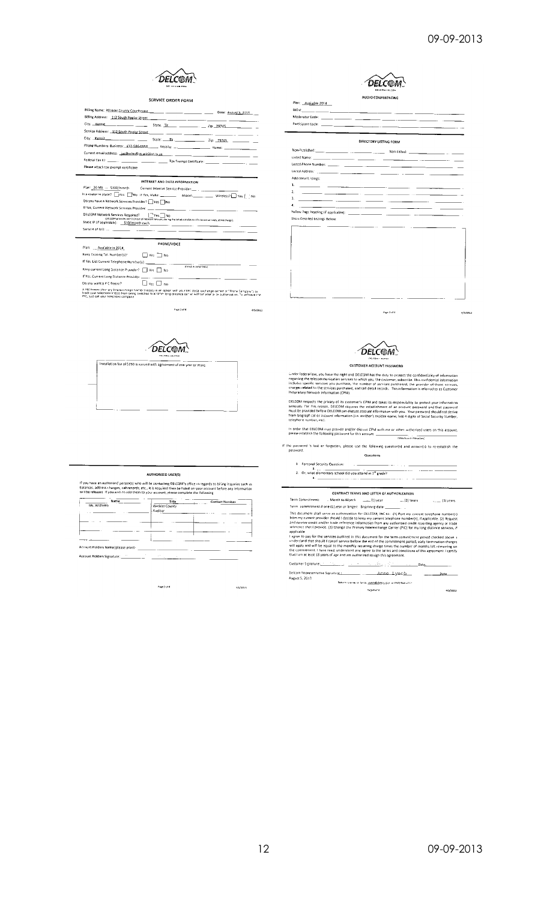$4/5/2013$ 



#### SERVICE ORDER FORM

| Billing Address: 112 South Poplar Street (1998) (1999) (2009) (2009) (2009) (2009) (2009) (2009) (2009) (2009) |  |
|----------------------------------------------------------------------------------------------------------------|--|
|                                                                                                                |  |
|                                                                                                                |  |
|                                                                                                                |  |
|                                                                                                                |  |
|                                                                                                                |  |
|                                                                                                                |  |
| Please attach tax exempt certificate                                                                           |  |
|                                                                                                                |  |

|                                                                                                   | INTERNET AND DATA INFORMATION                                                                                           |  |
|---------------------------------------------------------------------------------------------------|-------------------------------------------------------------------------------------------------------------------------|--|
|                                                                                                   |                                                                                                                         |  |
| Sa router in place? UVos UNo HYes, Make: _____________ Model: ______________ Wireless? UVes [ PMo |                                                                                                                         |  |
| Do you have a Network Services Provider? Tres                                                     |                                                                                                                         |  |
|                                                                                                   |                                                                                                                         |  |
| DELCOM Network Services Required?   TYes. No                                                      | (OELCOM provides one (1) hour of network services, during the initial installation of Internet services, at no charge). |  |
|                                                                                                   |                                                                                                                         |  |
|                                                                                                   |                                                                                                                         |  |
|                                                                                                   |                                                                                                                         |  |
| <b>Provident Control of the Control Control</b>                                                   | PHONE/VOICE                                                                                                             |  |

| Pian:<br>Available in 2014                             |                    |  |
|--------------------------------------------------------|--------------------|--|
| Keep Existing Fel. Number(s)?<br>$\Box$ Yes $\Box$ No. |                    |  |
| If Yes, List Current Telephone Number(s): ______       |                    |  |
| Keep current Long Distance Provider? TVes TV No        | (Dristin comments) |  |
|                                                        |                    |  |
| Do you want a P'C freeze?<br>l No<br>$ v_{ac} $        |                    |  |
|                                                        |                    |  |

A PIC Preeze (Primary Interestangle Carrier freeze) is an option with your LFC (local exchange carrier or "Prena Company") to<br>block your teleptions (Insig) from being switched to anothim long distance camer wahrout your or

.<br>Fage 1 of 4



|                                                                                     | <b>AUTHORIZED USERIST</b>          |                                                                                                                                                                                                                                      |
|-------------------------------------------------------------------------------------|------------------------------------|--------------------------------------------------------------------------------------------------------------------------------------------------------------------------------------------------------------------------------------|
| The released If you wish to add them to your account, please complete the following |                                    | you have an authorized person(s) who will be contacting DELCOM's office in regards to billing inquiries such as<br>lances, address changes, call records, etc., it is required they be listed on your account before any information |
| Name<br>Ms. Willhelm                                                                | Title<br>Winkler County<br>Auditor | <b>Contact Number</b>                                                                                                                                                                                                                |

|                                     |  | $\sim$ |
|-------------------------------------|--|--------|
|                                     |  |        |
| Crount Holders Name (please print): |  |        |

unt Holders Signature: \_

If you have an a<br>balances, addre<br>will be released

Page 3 of 4

 $4/5/2013$ 

**DELCOM** AUDIO CONFERENCING

Moderator Code: \_\_\_\_\_\_\_<br>Participant Code: \_\_\_\_\_\_\_\_\_ <u>.</u> **DIRECTORY LISTING FORM** 

Plan: Available 2014  $BDR$ 

Non-Published:\_\_\_\_\_\_\_\_\_  $\equiv$   $\equiv$ Listed Name: Listed Phone Number:  $\overline{\phantom{a}}$ Listed Address<sup>.</sup> ...  $-$ Additional Ustings  $\frac{1}{2} \left( \frac{1}{2} \right) \left( \frac{1}{2} \right) \left( \frac{1}{2} \right)$  $\overline{\phantom{a}}$  $\overline{\phantom{a}}$  $\overline{\phantom{a}}$ Vellow Page heading (if applicable): - - $\overline{\phantom{a}}$  $-$ Show Detailed Listings Below:

.<br>Page 2 of 4



Under federal law, you have the right and DELCOM has the duty to protect the confidentiality of information contained and the state of the state of the contained information include the information include the information

DELCOM respects the privacy of its customer's CPNI and takes its responsibility to protect your information<br>seriously. For this reason, DELCOM requires the establishment of an account password and that password<br>must be pro

If the password is lost or forgotten, please use the following question[s] and answer(s) to re-establish the password. Questions

| 1 Personal Security Question:                                          |
|------------------------------------------------------------------------|
| 2. Or, what elementary school did you attend in 3 <sup>rd</sup> grade? |

 $\frac{1}{a}$ . . . . . . . <u>.</u> . . . . . . . . .

CONTRACT TERMS AND LETTER OF AUTHORIZATION Customer Signature: المناسب Date.

Anne Lynch Date - 42 .<br>Return via ernäu ar far toll<u>itverhöldigteg do</u>n lar (915) 964 *2753.* signed of a  $4/5/1013$ 

09-09-2013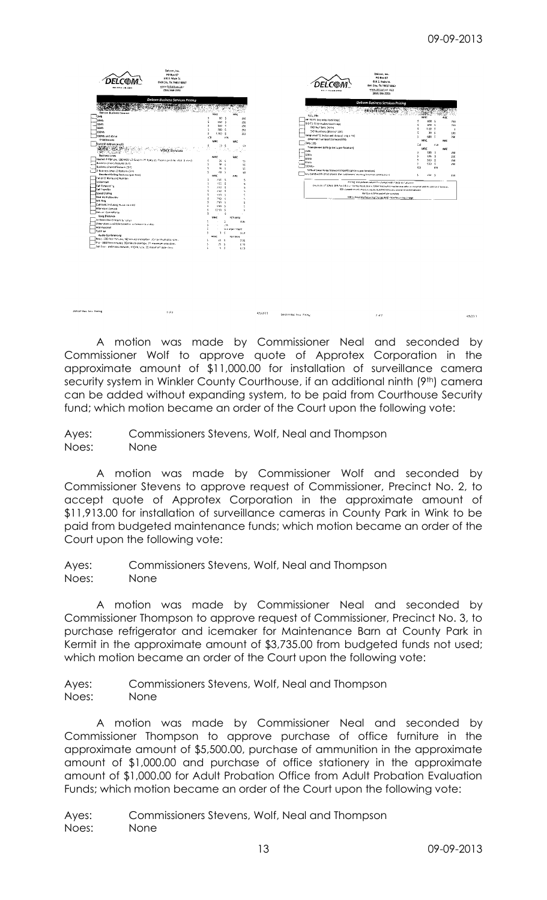

**Jelcom Bus Sacs Prefine** 



 $2<sub>5</sub>12$ 

A motion was made by Commissioner Neal and seconded by Commissioner Wolf to approve quote of Approtex Corporation in the approximate amount of \$11,000.00 for installation of surveillance camera security system in Winkler County Courthouse, if an additional ninth (9th) camera can be added without expanding system, to be paid from Courthouse Security fund; which motion became an order of the Court upon the following vote:

**Gelco in Bus**, Sess. 200ma

Ayes: Commissioners Stevens, Wolf, Neal and Thompson Noes: None

A motion was made by Commissioner Wolf and seconded by Commissioner Stevens to approve request of Commissioner, Precinct No. 2, to accept quote of Approtex Corporation in the approximate amount of \$11,913.00 for installation of surveillance cameras in County Park in Wink to be paid from budgeted maintenance funds; which motion became an order of the Court upon the following vote:

Ayes: Commissioners Stevens, Wolf, Neal and Thompson Noes: None

A motion was made by Commissioner Neal and seconded by Commissioner Thompson to approve request of Commissioner, Precinct No. 3, to purchase refrigerator and icemaker for Maintenance Barn at County Park in Kermit in the approximate amount of \$3,735.00 from budgeted funds not used; which motion became an order of the Court upon the following vote:

Ayes: Commissioners Stevens, Wolf, Neal and Thompson Noes: None

A motion was made by Commissioner Neal and seconded by Commissioner Thompson to approve purchase of office furniture in the approximate amount of \$5,500.00, purchase of ammunition in the approximate amount of \$1,000.00 and purchase of office stationery in the approximate amount of \$1,000.00 for Adult Probation Office from Adult Probation Evaluation Funds; which motion became an order of the Court upon the following vote: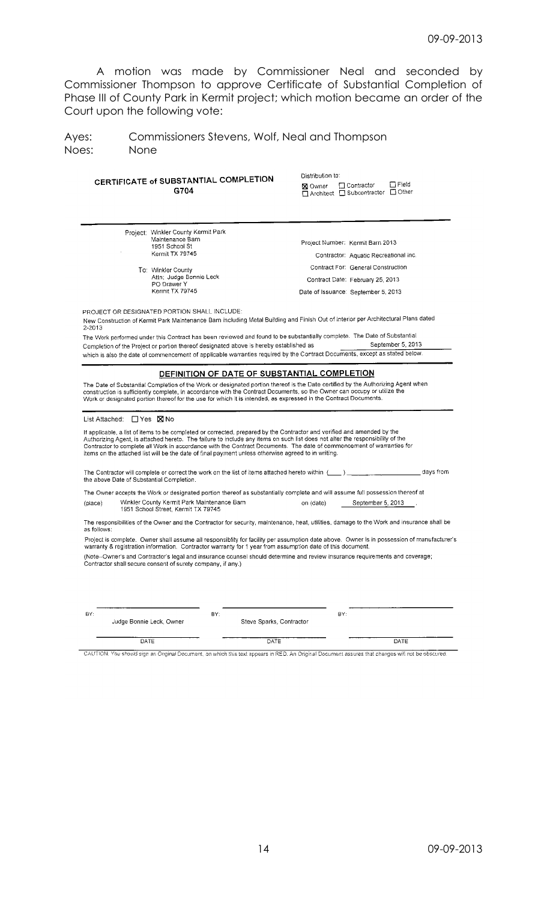A motion was made by Commissioner Neal and seconded by Commissioner Thompson to approve Certificate of Substantial Completion of Phase III of County Park in Kermit project; which motion became an order of the Court upon the following vote:

Ayes: Commissioners Stevens, Wolf, Neal and Thompson Noes: None

| CERTIFICATE of SUBSTANTIAL COMPLETION<br>G704                                                                                                                                                                                                                                                                                                                                                                                                                                                                                                                                                       | Distribution to:<br>$\Box$ Field<br>□ Contractor<br><b>X</b> Owner<br>□ Architect □ Subcontractor □ Other |
|-----------------------------------------------------------------------------------------------------------------------------------------------------------------------------------------------------------------------------------------------------------------------------------------------------------------------------------------------------------------------------------------------------------------------------------------------------------------------------------------------------------------------------------------------------------------------------------------------------|-----------------------------------------------------------------------------------------------------------|
| Project: Winkler County Kermit Park<br>Maintenance Barn                                                                                                                                                                                                                                                                                                                                                                                                                                                                                                                                             |                                                                                                           |
| 1951 School St<br>Kermit TX 79745                                                                                                                                                                                                                                                                                                                                                                                                                                                                                                                                                                   | Project Number: Kermit Barn 2013                                                                          |
|                                                                                                                                                                                                                                                                                                                                                                                                                                                                                                                                                                                                     | Contractor: Aquatic Recreational Inc.                                                                     |
| To: Winkler County<br>Attn; Judge Bonnie Leck                                                                                                                                                                                                                                                                                                                                                                                                                                                                                                                                                       | Contract For: General Construction                                                                        |
| PO Drawer Y                                                                                                                                                                                                                                                                                                                                                                                                                                                                                                                                                                                         | Contract Date: February 25, 2013                                                                          |
| Kermit TX 79745                                                                                                                                                                                                                                                                                                                                                                                                                                                                                                                                                                                     | Date of Issuance: September 5, 2013                                                                       |
| PROJECT OR DESIGNATED PORTION SHALL INCLUDE:<br>New Construction of Kermit Park Maintenance Barn including Metal Building and Finish Out of Interior per Architectural Plans dated<br>2-2013<br>The Work performed under this Contract has been reviewed and found to be substantially complete. The Date of Substantial<br>Completion of the Project or portion thereof designated above is hereby established as                                                                                                                                                                                  | September 5, 2013                                                                                         |
| which is also the date of commencement of applicable warranties required by the Contract Documents, except as stated below.                                                                                                                                                                                                                                                                                                                                                                                                                                                                         |                                                                                                           |
| If applicable, a list of items to be completed or corrected, prepared by the Contractor and verified and amended by the<br>Authorizing Agent, is attached hereto. The failure to include any items on such list does not alter the responsibility of the<br>Contractor to complete all Work in accordance with the Contract Documents. The date of commencement of warranties for<br>items on the attached list will be the date of final payment unless otherwise agreed to in writing.<br>The Contractor will complete or correct the work on the list of items attached hereto within $(\_\_\_)$ | days from                                                                                                 |
| the above Date of Substantial Completion.                                                                                                                                                                                                                                                                                                                                                                                                                                                                                                                                                           |                                                                                                           |
| The Owner accepts the Work or designated portion thereof as substantially complete and will assume full possession thereof at                                                                                                                                                                                                                                                                                                                                                                                                                                                                       |                                                                                                           |
| Winkler County Kermit Park Maintenance Barn<br>(place)<br>1951 School Street, Kermit TX 79745                                                                                                                                                                                                                                                                                                                                                                                                                                                                                                       | September 5, 2013<br>on (date)                                                                            |
| The responsibilities of the Owner and the Contractor for security, maintenance, heat, utilities, damage to the Work and insurance shall be<br>as follows:                                                                                                                                                                                                                                                                                                                                                                                                                                           |                                                                                                           |
| Project is complete. Owner shall assume all responsiblity for facility per assumption date above. Owner is in possession of manufacturer's<br>warranty & registration information. Contractor warranty for 1 year from assumption date of this document.                                                                                                                                                                                                                                                                                                                                            |                                                                                                           |
| (Note--Owner's and Contractor's legal and insurance counsel should determine and review insurance requirements and coverage;<br>Contractor shall secure consent of surety company, if any.)                                                                                                                                                                                                                                                                                                                                                                                                         |                                                                                                           |
| BY:<br>BY:                                                                                                                                                                                                                                                                                                                                                                                                                                                                                                                                                                                          | BY:                                                                                                       |
| Judge Bonnie Leck, Owner<br>Steve Sparks, Contractor                                                                                                                                                                                                                                                                                                                                                                                                                                                                                                                                                |                                                                                                           |
|                                                                                                                                                                                                                                                                                                                                                                                                                                                                                                                                                                                                     |                                                                                                           |

CAUTION: You should sign an Original Document, on which this text appears in RED. An Original Document assures that changes will not be obscured.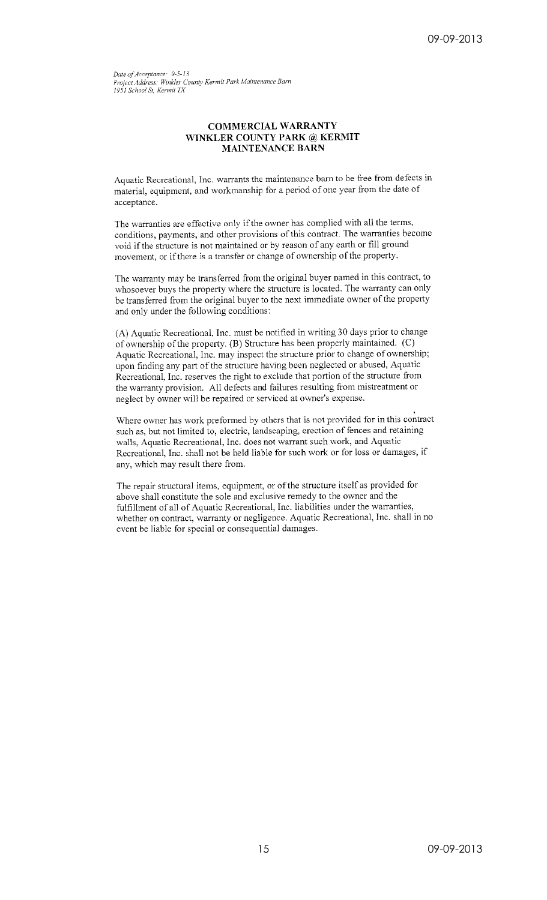Date of Acceptance: 9-5-13 Project Address: Winkler County Kermit Park Maintenance Barn 1951 School St, Kermit TX

## **COMMERCIAL WARRANTY** WINKLER COUNTY PARK @ KERMIT **MAINTENANCE BARN**

Aquatic Recreational, Inc. warrants the maintenance barn to be free from defects in material, equipment, and workmanship for a period of one year from the date of acceptance.

The warranties are effective only if the owner has complied with all the terms, conditions, payments, and other provisions of this contract. The warranties become void if the structure is not maintained or by reason of any earth or fill ground movement, or if there is a transfer or change of ownership of the property.

The warranty may be transferred from the original buyer named in this contract, to whosoever buys the property where the structure is located. The warranty can only be transferred from the original buyer to the next immediate owner of the property and only under the following conditions:

(A) Aquatic Recreational, Inc. must be notified in writing 30 days prior to change of ownership of the property. (B) Structure has been properly maintained. (C) Aquatic Recreational, Inc. may inspect the structure prior to change of ownership; upon finding any part of the structure having been neglected or abused, Aquatic Recreational, Inc. reserves the right to exclude that portion of the structure from the warranty provision. All defects and failures resulting from mistreatment or neglect by owner will be repaired or serviced at owner's expense.

Where owner has work preformed by others that is not provided for in this contract such as, but not limited to, electric, landscaping, erection of fences and retaining walls, Aquatic Recreational, Inc. does not warrant such work, and Aquatic Recreational, Inc. shall not be held liable for such work or for loss or damages, if any, which may result there from.

The repair structural items, equipment, or of the structure itself as provided for above shall constitute the sole and exclusive remedy to the owner and the fulfillment of all of Aquatic Recreational, Inc. liabilities under the warranties, whether on contract, warranty or negligence. Aquatic Recreational, Inc. shall in no event be liable for special or consequential damages.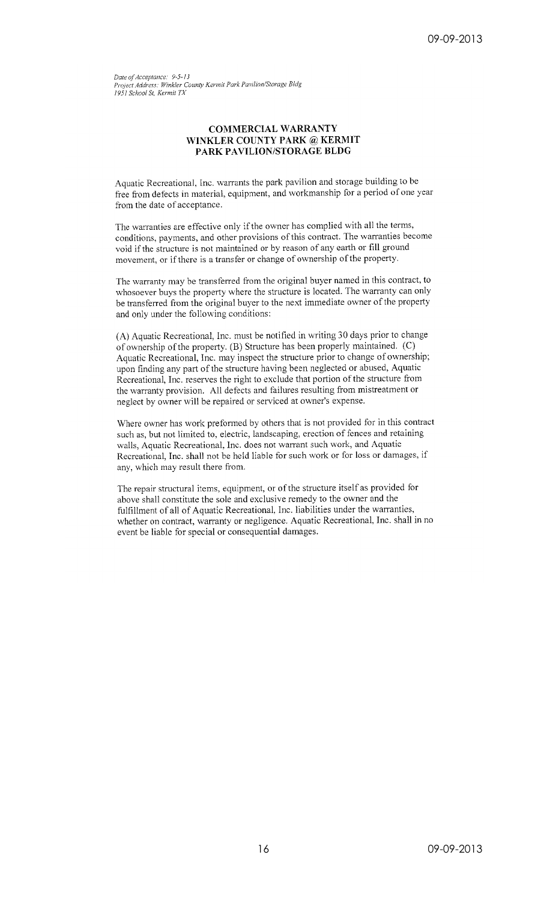Date of Acceptance: 9-5-13 Project Address: Winkler County Kermit Park Pavilion/Storage Bldg 1951 School St, Kermit TX

## **COMMERCIAL WARRANTY** WINKLER COUNTY PARK @ KERMIT PARK PAVILION/STORAGE BLDG

Aquatic Recreational, Inc. warrants the park pavilion and storage building to be free from defects in material, equipment, and workmanship for a period of one year from the date of acceptance.

The warranties are effective only if the owner has complied with all the terms, conditions, payments, and other provisions of this contract. The warranties become void if the structure is not maintained or by reason of any earth or fill ground movement, or if there is a transfer or change of ownership of the property.

The warranty may be transferred from the original buyer named in this contract, to whosoever buys the property where the structure is located. The warranty can only be transferred from the original buyer to the next immediate owner of the property and only under the following conditions:

(A) Aquatic Recreational, Inc. must be notified in writing 30 days prior to change of ownership of the property. (B) Structure has been properly maintained. (C) Aquatic Recreational, Inc. may inspect the structure prior to change of ownership; upon finding any part of the structure having been neglected or abused, Aquatic Recreational, Inc. reserves the right to exclude that portion of the structure from the warranty provision. All defects and failures resulting from mistreatment or neglect by owner will be repaired or serviced at owner's expense.

Where owner has work preformed by others that is not provided for in this contract such as, but not limited to, electric, landscaping, erection of fences and retaining walls, Aquatic Recreational, Inc. does not warrant such work, and Aquatic Recreational, Inc. shall not be held liable for such work or for loss or damages, if any, which may result there from.

The repair structural items, equipment, or of the structure itself as provided for above shall constitute the sole and exclusive remedy to the owner and the fulfillment of all of Aquatic Recreational, Inc. liabilities under the warranties, whether on contract, warranty or negligence. Aquatic Recreational, Inc. shall in no event be liable for special or consequential damages.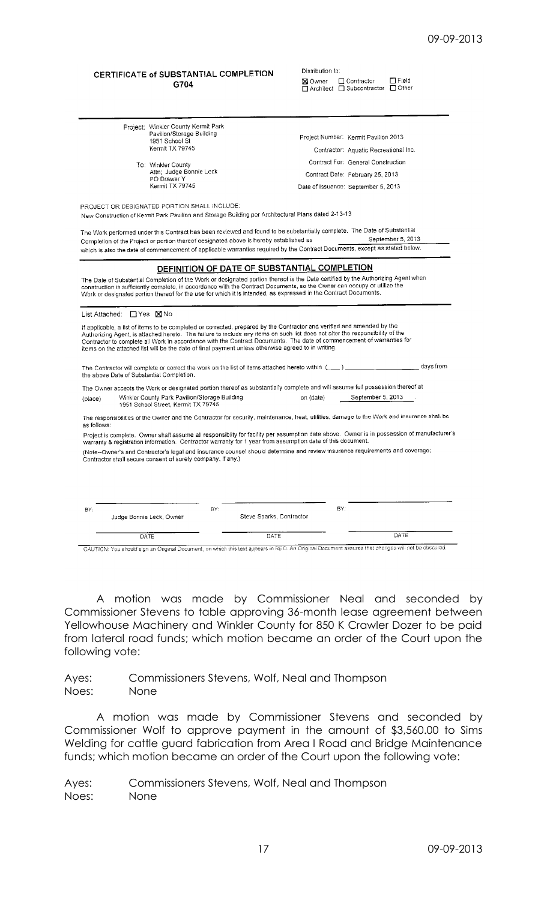## CERTIFICATE of SUBSTANTIAL COMPLETION G704

Attn; Judge Bonnie Leck

Project: Winkler County Kermit Park Pavilion/Storage Building  $1951$  School St Kermit TX 79745

To: Winkler County

PO Drawer Y Kermit TX 79745

| ---- | Field<br>□ Contractor<br><b>X</b> Owner<br>$\Box$ Other<br>$\Box$ Architect $\Box$ Subcontractor |
|------|--------------------------------------------------------------------------------------------------|
|      |                                                                                                  |
|      | Project Number: Kermit Pavilion 2013                                                             |
|      | Contractor: Aquatic Recreational Inc.                                                            |
|      | Contract For: General Construction                                                               |
|      | Contract Date: February 25, 2013                                                                 |
|      | Date of Issuance: September 5, 2013                                                              |

Distribution to:

PROJECT OR DESIGNATED PORTION SHALL INCLUDE: New Construction of Kermit Park Pavilion and Storage Building per Architectural Plans dated 2-13-13

The Work performed under this Contract has been reviewed and found to be substantially complete. The Date of Substantial September 5, 2013 Completion of the Project or portion thereof designated above is hereby established as which is also the date of commencement of applicable warranties required by the Contract Documents, except as stated below.

# DEFINITION OF DATE OF SUBSTANTIAL COMPLETION

The Date of Substantial Completion of the Work or designated portion thereof is the Date certified by the Authorizing Agent when<br>construction is sufficiently complete, in accordance with the Contract Documents, so the Owne Work or designated portion thereof for the use for which it is intended, as expressed in the Contract Documents.

| List Attached: $\Box$ Yes $\boxtimes$ No |  |
|------------------------------------------|--|
|                                          |  |

If applicable, a list of items to be completed or corrected, prepared by the Contractor and verified and amended by the<br>Authorizing Agent, is attached hereto. The failure to include any items on such list does not alter th items on the attached list will be the date of final payment unless otherwise agreed to in writing.

\_ days from The Contractor will complete or correct the work on the list of items attached hereto within  $($   $)$ . the above Date of Substantial Completion.

The Owner accepts the Work or designated portion thereof as substantially complete and will assume full possession thereof at Winkler County Park Pavilion/Storage Building September 5, 2013 on (date) (place) 1951 School Street, Kermit TX 79745

The responsibilities of the Owner and the Contractor for security, maintenance, heat, utilities, damage to the Work and insurance shall be as follows:

Project is complete. Owner shall assume all responsiblity for facility per assumption date above. Owner is in possession of manufacturer's<br>warranty & registration information. Contractor warranty for 1 year from assumption

Warranty & registration information. Commactor warranty for Tyear from assumption date of this document.<br>(Note--Owner's and Contractor's legal and insurance counsel should determine and review insurance requirements and co

| BY: |                                                                                                                                                   | BY: |                          | BY: |      |
|-----|---------------------------------------------------------------------------------------------------------------------------------------------------|-----|--------------------------|-----|------|
|     | Judge Bonnie Leck, Owner                                                                                                                          |     | Steve Sparks, Contractor |     |      |
|     | DATE                                                                                                                                              |     | DATE                     |     | DATE |
|     | CAUTION: You should sign an Original Document, on which this text appears in RED. An Original Document assures that changes will not be obscured. |     |                          |     |      |

A motion was made by Commissioner Neal and seconded by Commissioner Stevens to table approving 36-month lease agreement between Yellowhouse Machinery and Winkler County for 850 K Crawler Dozer to be paid from lateral road funds; which motion became an order of the Court upon the following vote:

Ayes: Commissioners Stevens, Wolf, Neal and Thompson Noes: None

A motion was made by Commissioner Stevens and seconded by Commissioner Wolf to approve payment in the amount of \$3,560.00 to Sims Welding for cattle guard fabrication from Area I Road and Bridge Maintenance funds; which motion became an order of the Court upon the following vote: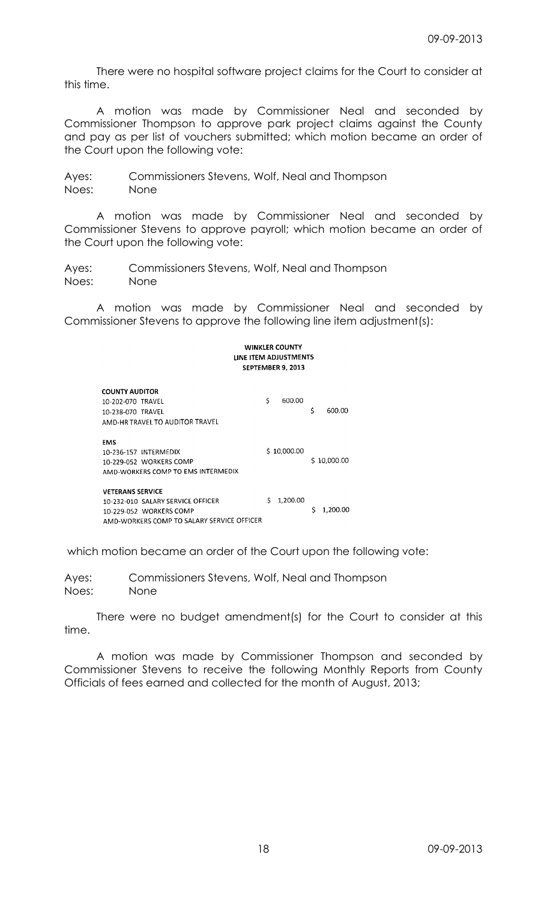There were no hospital software project claims for the Court to consider at this time.

A motion was made by Commissioner Neal and seconded by Commissioner Thompson to approve park project claims against the County and pay as per list of vouchers submitted; which motion became an order of the Court upon the following vote:

Ayes: Commissioners Stevens, Wolf, Neal and Thompson Noes: None

A motion was made by Commissioner Neal and seconded by Commissioner Stevens to approve payroll; which motion became an order of the Court upon the following vote:

Ayes: Commissioners Stevens, Wolf, Neal and Thompson Noes: None

A motion was made by Commissioner Neal and seconded by Commissioner Stevens to approve the following line item adjustment(s):

**WINKLER COUNTY** LINE ITEM ADJUSTMENTS SEPTEMBER 9, 2013 **COUNTY AUDITOR** 600.00  $\boldsymbol{\zeta}$ 10-202-070 TRAVEL \$ 600.00 10-238-070 TRAVEL AMD-HR TRAVEL TO AUDITOR TRAVEL **FMS**  $$10,000.00$ 10-236-157 INTERMEDIX \$10,000.00 10-229-052 WORKERS COMP AMD-WORKERS COMP TO EMS INTERMEDIX **VETERANS SERVICE** 10-232-010 SALARY SERVICE OFFICER  $$1,200.00$  $$1,200.00$ 10-229-052 WORKERS COMP AMD-WORKERS COMP TO SALARY SERVICE OFFICER

which motion became an order of the Court upon the following vote:

Ayes: Commissioners Stevens, Wolf, Neal and Thompson Noes: None

There were no budget amendment(s) for the Court to consider at this time.

A motion was made by Commissioner Thompson and seconded by Commissioner Stevens to receive the following Monthly Reports from County Officials of fees earned and collected for the month of August, 2013;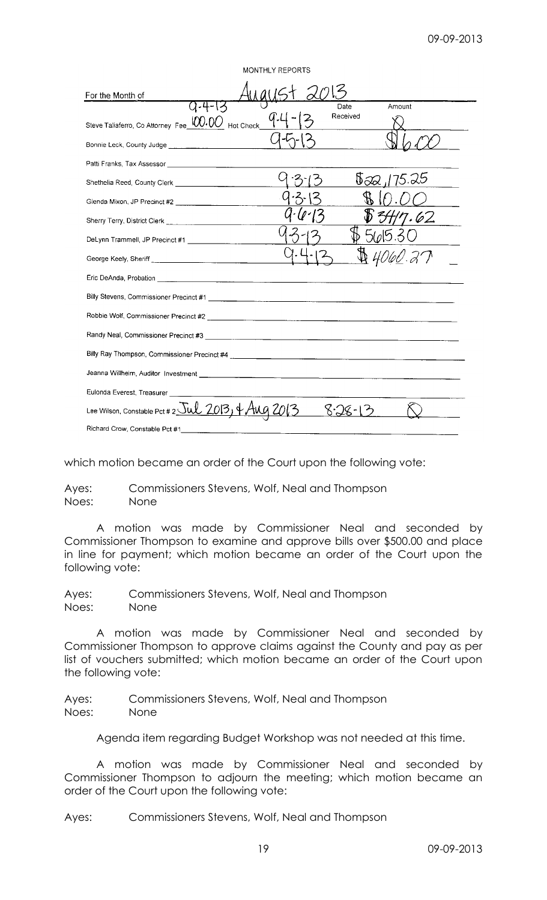| MONTHLY REPORTS                                                                     |
|-------------------------------------------------------------------------------------|
| For the Month of                                                                    |
| Date<br>Amount<br>Received<br>Steve Taliaferro, Co Attorney Fee 100.00 Hot Check    |
|                                                                                     |
|                                                                                     |
| $\sqrt{3} \approx 175.25$                                                           |
|                                                                                     |
| 34/7.62                                                                             |
| D 5605.31                                                                           |
| \$4060.27                                                                           |
|                                                                                     |
|                                                                                     |
|                                                                                     |
|                                                                                     |
|                                                                                     |
|                                                                                     |
| Eulonda Everest, Treasurer _________                                                |
| Lee Wilson, Constable Pct # 2 $\overline{5uL}$ 2013, $\frac{1}{4}$ AUg 2013<br>8.78 |
| Richard Crow, Constable Pct #1                                                      |

which motion became an order of the Court upon the following vote:

Ayes: Commissioners Stevens, Wolf, Neal and Thompson Noes: None

A motion was made by Commissioner Neal and seconded by Commissioner Thompson to examine and approve bills over \$500.00 and place in line for payment; which motion became an order of the Court upon the following vote:

Ayes: Commissioners Stevens, Wolf, Neal and Thompson Noes: None

A motion was made by Commissioner Neal and seconded by Commissioner Thompson to approve claims against the County and pay as per list of vouchers submitted; which motion became an order of the Court upon the following vote:

Ayes: Commissioners Stevens, Wolf, Neal and Thompson Noes: None

Agenda item regarding Budget Workshop was not needed at this time.

A motion was made by Commissioner Neal and seconded by Commissioner Thompson to adjourn the meeting; which motion became an order of the Court upon the following vote: